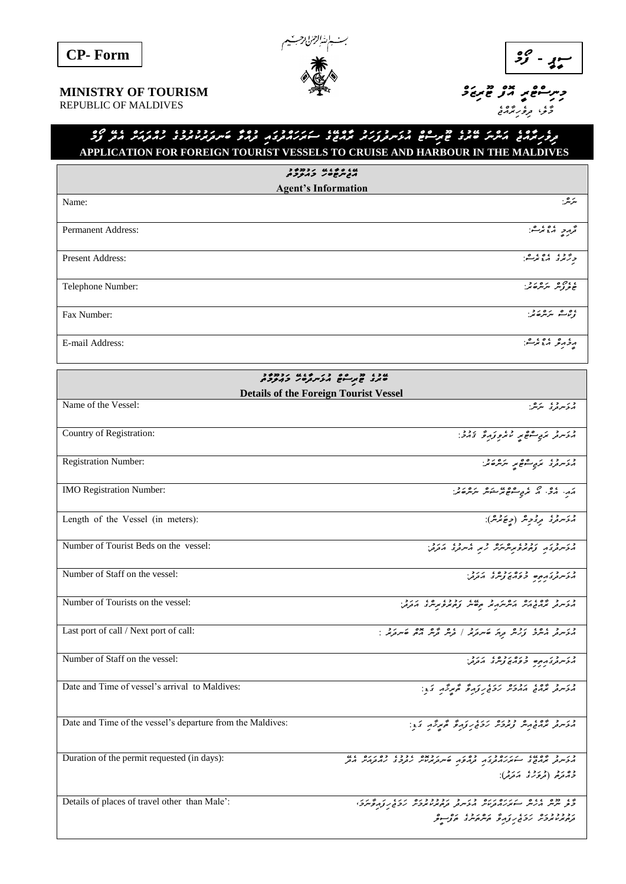



 *މާލ*،*ެ ދިވެހިރާއްޖެ* 

## حِسِنَّتْ مِحْمَدٍ مِّتْرَ حِمْحِيَّةً حَسِنَةً مِنْ قَصْحِيَّةً مِنْ كَلِمَا MINISTRY OF TOURISM

REPUBLIC OF MALDIVES

## *ﺮﻭﺭऱ័*ភភ្ ភَﻣَﺮَّﺘُ ﻋَﺘُﺮَﺩُ ﻋَﺘُﺮِﺳَّﺔ ﻣُﺮَﺳَﺮُّﺮُﻭَﺭَﺘُﺪُ ﻋَﺮَﻣَّﺘُ ﺣَ ﺳَﺘُﺮَﺭَّﺪُﻭَﺩُ ﻣَ ﻣَﺮﻭَّﺑُﺪُﻭَﺩُ ﺩَﻣُﻮَﺭَّﺪُ ﻣَﺗَﺮُ ﻭَﺩَ **APPLICATION FOR FOREIGN TOURIST VESSELS TO CRUISE AND HARBOUR IN THE MALDIVES**

| הבית שטיר כהקכת                                                              |                                                                                                                                                                                 |  |  |  |
|------------------------------------------------------------------------------|---------------------------------------------------------------------------------------------------------------------------------------------------------------------------------|--|--|--|
| <b>Agent's Information</b>                                                   |                                                                                                                                                                                 |  |  |  |
| Name:                                                                        | ىر مى                                                                                                                                                                           |  |  |  |
| Permanent Address:                                                           | تحرمر بمفتر شو                                                                                                                                                                  |  |  |  |
| Present Address:                                                             | ورد ده ده ده می                                                                                                                                                                 |  |  |  |
| Telephone Number:                                                            | ، ، ، ، ، ، ، ، ، .                                                                                                                                                             |  |  |  |
| Fax Number:                                                                  | ، <i>و پاڻ مريثر ڪائي</i> .                                                                                                                                                     |  |  |  |
| E-mail Address:                                                              | مزمر و ، ، ، ، و.                                                                                                                                                               |  |  |  |
|                                                                              |                                                                                                                                                                                 |  |  |  |
| عاد ۽ هر ده چر گريرون درده د<br><b>Details of the Foreign Tourist Vessel</b> |                                                                                                                                                                                 |  |  |  |
| Name of the Vessel:                                                          | د ئەسرىرى بىرىش:                                                                                                                                                                |  |  |  |
| Country of Registration:                                                     | ور د مر <sub>ي</sub> موه د د ورځ د د د د                                                                                                                                        |  |  |  |
| <b>Registration Number:</b>                                                  | ور ده کري شوه پر مرکزه بر:                                                                                                                                                      |  |  |  |
| IMO Registration Number:                                                     | ההי הכי ה תב שיפת המת "תומא".                                                                                                                                                   |  |  |  |
| Length of the Vessel (in meters):                                            | و مُدَسر قرى قرى قرىر (جِنَ تَرْسُ):                                                                                                                                            |  |  |  |
| Number of Tourist Beds on the vessel:                                        | د در در درد ده و در در در درد.<br>پروسروری و دیروبرسرس                                                                                                                          |  |  |  |
| Number of Staff on the vessel:                                               | י הרובה בניסידים ביניה בית.<br>הלייניה בניסים בפרים צייניב הבבל                                                                                                                 |  |  |  |
| Number of Tourists on the vessel:                                            | כני כי ממשינים ומיניק ובי ששוי נפדונים שיניב.<br>היצייקה והממשקה והייקיקה וביסייק נפדוק באייק הבנה                                                                              |  |  |  |
| Last port of call / Next port of call:                                       | כני כ-201 נכס וני היוני (-20 מים אם אמים היוני.<br>היציינה הייניב <sub>צ</sub> יניית ב <sub>נ</sub> ות סייניב <sub>ו</sub> ת (-2 <sub>0</sub> מית מיקום סייניב <sub>ו</sub> ת). |  |  |  |
| Number of Staff on the vessel:                                               | רגיינדג בפים בפריז ציינד הבב.<br>הליינדג ברים בפריז ציינד הבב.                                                                                                                  |  |  |  |
| Date and Time of vessel's arrival to Maldives:                               | ورس و ۱۵۶ مرور درو رو و گم مرکز و کار                                                                                                                                           |  |  |  |
| Date and Time of the vessel's departure from the Maldives:                   | ور د ده ده و دوره رد در وره گم برگه کار:                                                                                                                                        |  |  |  |
| Duration of the permit requested (in days):                                  | כנ כ 40 גוג נגדו בנגד כסני נדגר 2016 ככל כסנים גם.<br>הנייקה הנהבה ב מנגדות בנה הנהבה שייקוניות נהברה מההנהיו הה<br>ده رد (درد د برد ):<br>د امرم (مرکزی امرم):                 |  |  |  |
| Details of places of travel other than Male':                                | ה 2 ככם 220 הגודם נוד כן כן כבכבוד הגודם נודק לקוב.<br>כת יותיות הניות המונגה בנודק בנודק בנודק בעיר נודק לקוב לקוב.                                                            |  |  |  |
|                                                                              | נכבכבים נכל נקוד היונים היו יו                                                                                                                                                  |  |  |  |